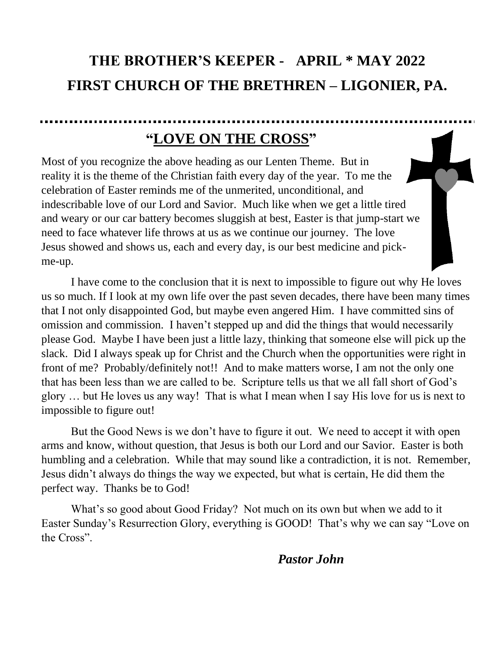## **THE BROTHER'S KEEPER - APRIL \* MAY 2022 FIRST CHURCH OF THE BRETHREN – LIGONIER, PA.**

## **"LOVE ON THE CROSS"**

Most of you recognize the above heading as our Lenten Theme. But in reality it is the theme of the Christian faith every day of the year. To me the celebration of Easter reminds me of the unmerited, unconditional, and indescribable love of our Lord and Savior. Much like when we get a little tired and weary or our car battery becomes sluggish at best, Easter is that jump-start we need to face whatever life throws at us as we continue our journey. The love Jesus showed and shows us, each and every day, is our best medicine and pickme-up.

I have come to the conclusion that it is next to impossible to figure out why He loves us so much. If I look at my own life over the past seven decades, there have been many times that I not only disappointed God, but maybe even angered Him. I have committed sins of omission and commission. I haven't stepped up and did the things that would necessarily please God. Maybe I have been just a little lazy, thinking that someone else will pick up the slack. Did I always speak up for Christ and the Church when the opportunities were right in front of me? Probably/definitely not!! And to make matters worse, I am not the only one that has been less than we are called to be. Scripture tells us that we all fall short of God's glory … but He loves us any way! That is what I mean when I say His love for us is next to impossible to figure out!

But the Good News is we don't have to figure it out. We need to accept it with open arms and know, without question, that Jesus is both our Lord and our Savior. Easter is both humbling and a celebration. While that may sound like a contradiction, it is not. Remember, Jesus didn't always do things the way we expected, but what is certain, He did them the perfect way. Thanks be to God!

What's so good about Good Friday? Not much on its own but when we add to it Easter Sunday's Resurrection Glory, everything is GOOD! That's why we can say "Love on the Cross".

*Pastor John*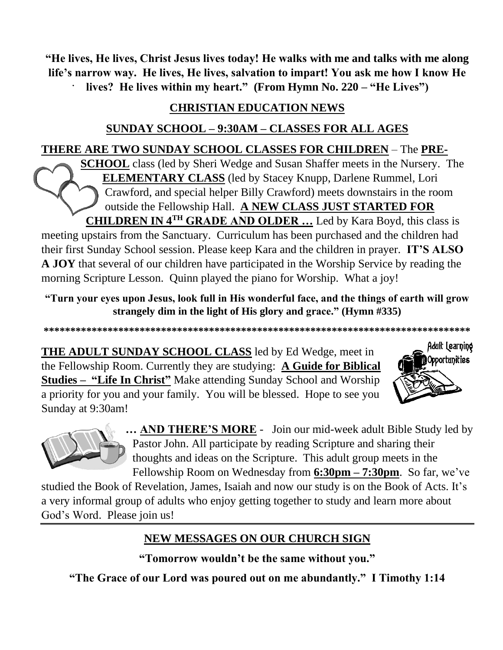**"He lives, He lives, Christ Jesus lives today! He walks with me and talks with me along life's narrow way. He lives, He lives, salvation to impart! You ask me how I know He lives? He lives within my heart." (From Hymn No. 220 – "He Lives")**

## **CHRISTIAN EDUCATION NEWS**

## **SUNDAY SCHOOL – 9:30AM – CLASSES FOR ALL AGES**

### **THERE ARE TWO SUNDAY SCHOOL CLASSES FOR CHILDREN** – The **PRE-**

**SCHOOL** class (led by Sheri Wedge and Susan Shaffer meets in the Nursery. The **ELEMENTARY CLASS** (led by Stacey Knupp, Darlene Rummel, Lori Crawford, and special helper Billy Crawford) meets downstairs in the room outside the Fellowship Hall. **A NEW CLASS JUST STARTED FOR CHILDREN IN 4TH GRADE AND OLDER …** Led by Kara Boyd, this class is

meeting upstairs from the Sanctuary. Curriculum has been purchased and the children had their first Sunday School session. Please keep Kara and the children in prayer. **IT'S ALSO A JOY** that several of our children have participated in the Worship Service by reading the morning Scripture Lesson. Quinn played the piano for Worship. What a joy!

**"Turn your eyes upon Jesus, look full in His wonderful face, and the things of earth will grow strangely dim in the light of His glory and grace." (Hymn #335)**

**\*\*\*\*\*\*\*\*\*\*\*\*\*\*\*\*\*\*\*\*\*\*\*\*\*\*\*\*\*\*\*\*\*\*\*\*\*\*\*\*\*\*\*\*\*\*\*\*\*\*\*\*\*\*\*\*\*\*\*\*\*\*\*\*\*\*\*\*\*\*\*\*\*\*\*\*\*\*\*\***

**THE ADULT SUNDAY SCHOOL CLASS** led by Ed Wedge, meet in the Fellowship Room. Currently they are studying: **A Guide for Biblical Studies – "Life In Christ"** Make attending Sunday School and Worship a priority for you and your family. You will be blessed. Hope to see you Sunday at 9:30am!





**… AND THERE'S MORE** - Join our mid-week adult Bible Study led by Pastor John. All participate by reading Scripture and sharing their thoughts and ideas on the Scripture. This adult group meets in the Fellowship Room on Wednesday from **6:30pm – 7:30pm**. So far, we've

studied the Book of Revelation, James, Isaiah and now our study is on the Book of Acts. It's [a very in](https://creativecommons.org/licenses/by-nc/3.0/)formal group of adults who enjoy getting together to study and learn more about God's Word. Please join us!

## **NEW MESSAGES ON OUR CHURCH SIGN**

**"Tomorrow wouldn't be the same without you."**

**"The Grace of our Lord was poured out on me abundantly." I Timothy 1:14**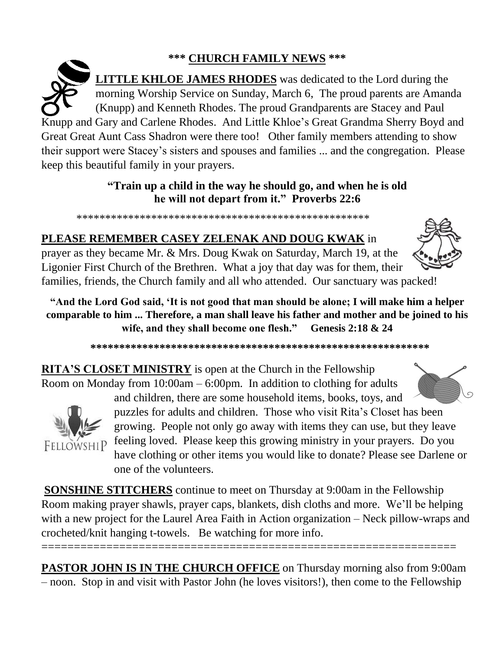**\*\*\* CHURCH FAMILY NEWS \*\*\***

**LITTLE KHLOE JAMES RHODES** was dedicated to the Lord during the morning Worship Service on Sunday, March 6, The proud parents are Amanda (Knupp) and Kenneth Rhodes. The proud Grandparents are Stacey and Paul Knupp and Gary and Carlene Rhodes. And Little Khloe's Great Grandma Sherry Boyd and Great Great Aunt Cass Shadron were there too! Other family members attending to show their support were Stacey's sisters and spouses and families ... and the congregation. Please keep this beautiful family in your prayers.

#### **"Train up a child in the way he should go, and when he is old he will not depart from it." Proverbs 22:6**

\*\*\*\*\*\*\*\*\*\*\*\*\*\*\*\*\*\*\*\*\*\*\*\*\*\*\*\*\*\*\*\*\*\*\*\*\*\*\*\*\*\*\*\*\*\*\*\*\*\*\*

## **PLEASE REMEMBER CASEY ZELENAK AND DOUG KWAK** in

prayer as they became Mr. & Mrs. Doug Kwak on Saturday, March 19, at the Ligonier First Church of the Brethren. What a joy that day was for them, their families, friends, the Church family and all who attended. Our sanctuary was packed!

**"And the Lord God said, 'It is not good that man should be alone; I will make him a helper comparable to him ... Therefore, a man shall leave his father and mother and be joined to his wife, and they shall become one flesh." Genesis 2:18 & 24**

 **\*\*\*\*\*\*\*\*\*\*\*\*\*\*\*\*\*\*\*\*\*\*\*\*\*\*\*\*\*\*\*\*\*\*\*\*\*\*\*\*\*\*\*\*\*\*\*\*\*\*\*\*\*\*\*\*\*\*\***

**RITA'S CLOSET MINISTRY** is open at the Church in the Fellowship Room on Monday from 10:00am – 6:00pm. In addition to clothing for adults



and children, there are some household items, books, toys, and puzzles for adults and children. Those who visit Rita's Closet has been growing. People not only go away with items they can use, but they leave feeling loved. Please keep this growing ministry in your prayers. Do you have clothing or other items you would like to donate? Please see Darlene or one of the volunteers.

**SONSHINE STITCHERS** continue to meet on Thursday at 9:00am in the Fellowship Room making prayer shawls, prayer caps, blankets, dish cloths and more. We'll be helping with a new project for the Laurel Area Faith in Action organization – Neck pillow-wraps and crocheted/knit hanging t-towels. Be watching for more info.

**PASTOR JOHN IS IN THE CHURCH OFFICE** on Thursday morning also from 9:00am – noon. Stop in and visit with Pastor John (he loves visitors!), then come to the Fellowship

================================================================

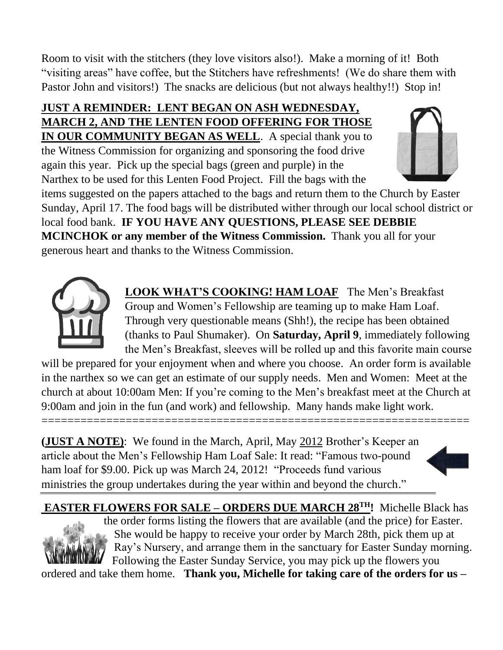Room to visit with the stitchers (they love visitors also!). Make a morning of it! Both "visiting areas" have coffee, but the Stitchers have refreshments! (We do share them with Pastor John and visitors!) The snacks are delicious (but not always healthy!!) Stop in!

## **JUST A REMINDER: LENT BEGAN ON ASH WEDNESDAY, MARCH 2, AND THE LENTEN FOOD OFFERING FOR THOSE IN OUR COMMUNITY BEGAN AS WELL**. A special thank you to the Witness Commission for organizing and sponsoring the food drive

again this year. Pick up the special bags (green and purple) in the Narthex to be used for this Lenten Food Project. Fill the bags with the



items suggested on the papers attached to the bags and return them to the Church by Easter Sunday, April 17. The food bags will be distributed wither through our local school district or local food bank. **IF YOU HAVE ANY QUESTIONS, PLEASE SEE DEBBIE MCINCHOK or any member of the Witness Commission.** Thank you all for your generous heart and thanks to the Witness Commission.



**LOOK WHAT'S COOKING! HAM LOAF** The Men's Breakfast Group and Women's Fellowship are teaming up to make Ham Loaf. Through very questionable means (Shh!), the recipe has been obtained (thanks to Paul Shumaker). On **Saturday, April 9**, immediately following the Men's Breakfast, sleeves will be rolled up and this favorite main course

will be prepared for your enjoyment when and where you choose. An order form is available in the narthex so we can get an estimate of our supply needs. Men and Women: Meet at the church at about 10:00am Men: If you're coming to the Men's breakfast meet at the Church at 9:00am and join in the fun (and work) and fellowship. Many hands make light work.

==================================================================

**(JUST A NOTE)**: We found in the March, April, May 2012 Brother's Keeper an article about the Men's Fellowship Ham Loaf Sale: It read: "Famous two-pound ham loaf for \$9.00. Pick up was March 24, 2012! "Proceeds fund various ministries the group undertakes during the year within and beyond the church."



**EASTER FLOWERS FOR SALE – ORDERS DUE MARCH 28TH!** Michelle Black has the order forms listing the flowers that are available (and the price) for Easter. She would be happy to receive your order by March 28th, pick them up at Ray's Nursery, and arrange them in the sanctuary for Easter Sunday morning. Following the Easter Sunday Service, you may pick up the flowers you ordered and take them home. **Thank you, Michelle for taking care of the orders for us –**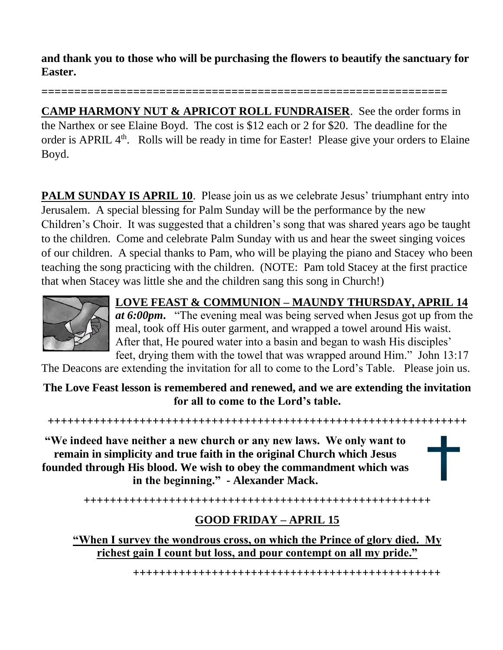**and thank you to those who will be purchasing the flowers to beautify the sanctuary for Easter.**

**==============================================================**

**CAMP HARMONY NUT & APRICOT ROLL FUNDRAISER**. See the order forms in the Narthex or see Elaine Boyd. The cost is \$12 each or 2 for \$20. The deadline for the order is APRIL 4<sup>th</sup>. Rolls will be ready in time for Easter! Please give your orders to Elaine Boyd.

**PALM SUNDAY IS APRIL 10.** Please join us as we celebrate Jesus' triumphant entry into Jerusalem. A special blessing for Palm Sunday will be the performance by the new Children's Choir. It was suggested that a children's song that was shared years ago be taught to the children. Come and celebrate Palm Sunday with us and hear the sweet singing voices of our children. A special thanks to Pam, who will be playing the piano and Stacey who been teaching the song practicing with the children. (NOTE: Pam told Stacey at the first practice that when Stacey was little she and the children sang this song in Church!)



### **LOVE FEAST & COMMUNION – MAUNDY THURSDAY, APRIL 14**

*at 6:00pm***.** "The evening meal was being served when Jesus got up from the meal, took off His outer garment, and wrapped a towel around His waist. After that, He poured water into a basin and began to wash His disciples' feet, drying them with the towel that was wrapped around Him." John 13:17

The Deacons are extending the invitation for all to come to the Lord's Table. Please join us.

**[The Love](https://creativecommons.org/licenses/by-nc-sa/3.0/) Feast lesson is remembered and renewed, and we are extending the invitation for all to come to the Lord's table.**

**++++++++++++++++++++++++++++++++++++++++++++++++++++++++++++++++**

**"We indeed have neither a new church or any new laws. We only want to remain in simplicity and true faith in the original Church which Jesus founded through His blood. We wish to obey the commandment which was in the beginning." - Alexander Mack.**

**+++++++++++++++++++++++++++++++++++++++++++++++++++++**

## **GOOD FRIDAY – APRIL 15**

**"When I survey the wondrous cross, on which the Prince of glory died. My richest gain I count but loss, and pour contempt on all my pride."**

**+++++++++++++++++++++++++++++++++++++++++++++++**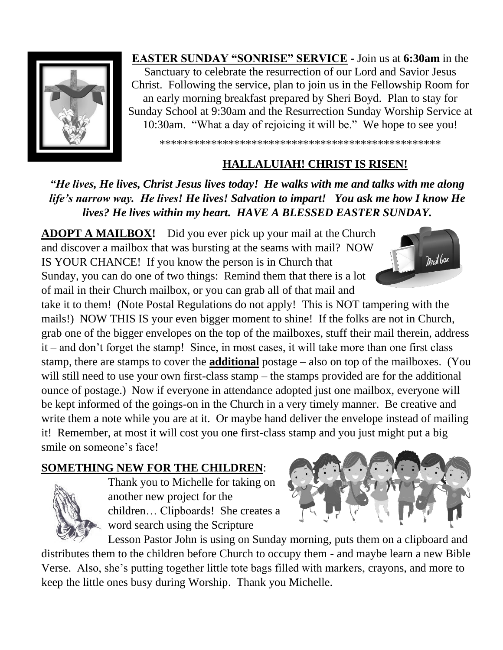

**EASTER SUNDAY "SONRISE" SERVICE -** Join us at **6:30am** in the Sanctuary to celebrate the resurrection of our Lord and Savior Jesus Christ. Following the service, plan to join us in the Fellowship Room for an early morning breakfast prepared by Sheri Boyd. Plan to stay for Sunday School at 9:30am and the Resurrection Sunday Worship Service at 10:30am. "What a day of rejoicing it will be." We hope to see you!

\*\*\*\*\*\*\*\*\*\*\*\*\*\*\*\*\*\*\*\*\*\*\*\*\*\*\*\*\*\*\*\*\*\*\*\*\*\*\*\*\*\*\*\*\*\*\*\*\*

## **HALLALUIAH! CHRIST IS RISEN!**

*"He lives, He lives, Christ Jesus lives today! He walks with me and talks with me along life's narrow way. He lives! He lives! Salvation to impart! You ask me how I know He lives? He lives within my heart. HAVE A BLESSED EASTER SUNDAY.*

**ADOPT A MAILBOX!** Did you ever pick up your mail at the Church and discover a mailbox that was bursting at the seams with mail? NOW IS YOUR CHANCE! If you know the person is in Church that Sunday, you can do one of two things: Remind them that there is a lot of mail in their Church mailbox, or you can grab all of that mail and



take it to them! (Note Postal Regulations do not apply! This is NOT tampering with the mails!) NOW THIS IS your even bigger moment to shine! If the folks are not in Church, grab one of the bigger envelopes on the top of the mailboxes, stuff their mail therein, address it – and don't forget the stamp! Since, in most cases, it will take more than one first class stamp, there are stamps to cover the **additional** postage – also on top of the mailboxes. (You will still need to use your own first-class stamp – the stamps provided are for the additional ounce of postage.) Now if everyone in attendance adopted just one mailbox, everyone will be kept informed of the goings-on in the Church in a very timely manner. Be creative and write them a note while you are at it. Or maybe hand deliver the envelope instead of mailing it! Remember, at most it will cost you one first-class stamp and you just might put a big smile on someone's face!

### **SOMETHING NEW FOR THE CHILDREN**:



Thank you to Michelle for taking on another new project for the children… Clipboards! She creates a word search using the Scripture



Lesson Pastor John is using on Sunday morning, puts them on a clipboard and distributes them to the children before Church to occupy them - and maybe learn a new Bible Verse. Also, she's putting together little tote bags filled with markers, crayons, and more to keep the little ones busy during Worship. Thank you Michelle.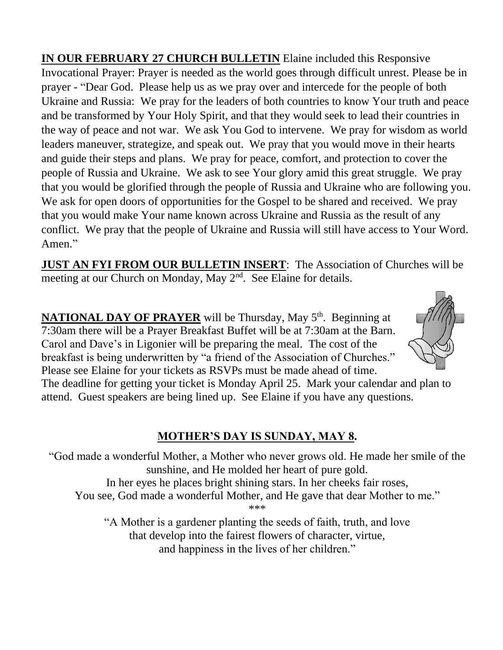**IN OUR FEBRUARY 27 CHURCH BULLETIN** Elaine included this Responsive Invocational Prayer: Prayer is needed as the world goes through difficult unrest. Please be in prayer - "Dear God. Please help us as we pray over and intercede for the people of both Ukraine and Russia: We pray for the leaders of both countries to know Your truth and peace and be transformed by Your Holy Spirit, and that they would seek to lead their countries in the way of peace and not war. We ask You God to intervene. We pray for wisdom as world leaders maneuver, strategize, and speak out. We pray that you would move in their hearts and guide their steps and plans. We pray for peace, comfort, and protection to cover the people of Russia and Ukraine. We ask to see Your glory amid this great struggle. We pray that you would be glorified through the people of Russia and Ukraine who are following you. We ask for open doors of opportunities for the Gospel to be shared and received. We pray that you would make Your name known across Ukraine and Russia as the result of any conflict. We pray that the people of Ukraine and Russia will still have access to Your Word. Amen."

**JUST AN FYI FROM OUR BULLETIN INSERT**: The Association of Churches will be meeting at our Church on Monday, May 2<sup>nd</sup>. See Elaine for details.

NATIONAL DAY OF PRAYER will be Thursday, May 5<sup>th</sup>. Beginning at 7:30am there will be a Prayer Breakfast Buffet will be at 7:30am at the Barn. Carol and Dave's in Ligonier will be preparing the meal. The cost of the breakfast is being underwritten by "a friend of the Association of Churches." Please see Elaine for your tickets as RSVPs must be made ahead of time.



The deadline for getting your ticket is Monday April 25. Mark your calendar and plan to attend. Guest speakers are being lined up. See Elaine if you have any questions.

## **MOTHER'S DAY IS SUNDAY, MAY 8.**

"God made a wonderful Mother, a Mother who never grows old. He made her smile of the sunshine, and He molded her heart of pure gold. In her eyes he places bright shining stars. In her cheeks fair roses, You see, God made a wonderful Mother, and He gave that dear Mother to me." \*\*\* "A Mother is a gardener planting the seeds of faith, truth, and love that develop into the fairest flowers of character, virtue,

and happiness in the lives of her children."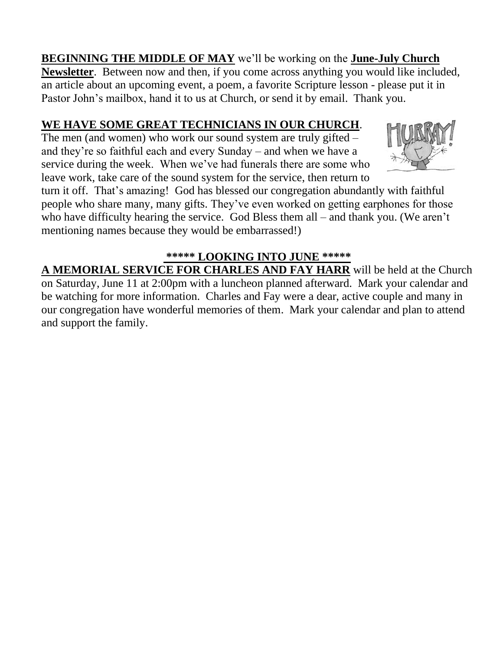**BEGINNING THE MIDDLE OF MAY** we'll be working on the **June-July Church Newsletter**. Between now and then, if you come across anything you would like included, an article about an upcoming event, a poem, a favorite Scripture lesson - please put it in Pastor John's mailbox, hand it to us at Church, or send it by email. Thank you.

## **WE HAVE SOME GREAT TECHNICIANS IN OUR CHURCH**.

The men (and women) who work our sound system are truly gifted – and they're so faithful each and every Sunday – and when we have a service during the week. When we've had funerals there are some who leave work, take care of the sound system for the service, then return to



turn it off. That's amazing! God has blessed our congregation abundantly with faithful people who share many, many gifts. They've even worked on getting earphones for t[hose](https://creativecommons.org/licenses/by-nc-nd/3.0/)  who have difficulty hearing the service. God Bless them all – and thank y[ou. \(W](https://creativecommons.org/licenses/by-nc-nd/3.0/)e aren't mentioning names because they would be embarrassed!)

### **\*\*\*\*\* LOOKING INTO JUNE \*\*\*\*\***

**A MEMORIAL SERVICE FOR CHARLES AND FAY HARR** will be held at the Church on Saturday, June 11 at 2:00pm with a luncheon planned afterward. Mark your calendar and be watching for more information. Charles and Fay were a dear, active couple and many in our congregation have wonderful memories of them. Mark your calendar and plan to attend and support the family.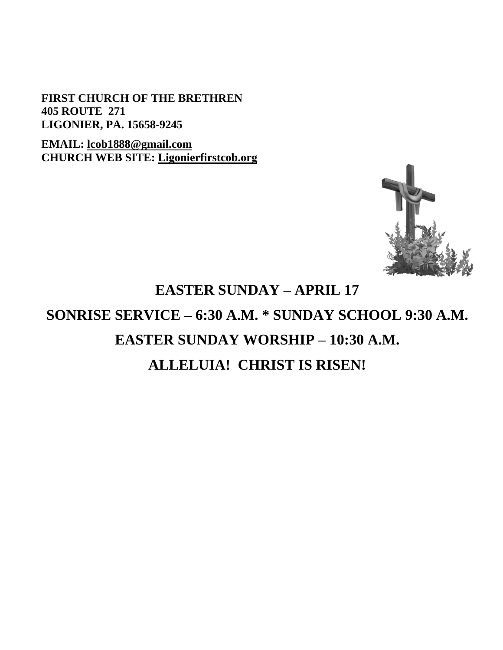**FIRST CHURCH OF THE BRETHREN 405 ROUTE 271 LIGONIER, PA. 15658-9245**

**EMAIL: [lcob1888@gmail.com](mailto:lcob1888@gmail.com) CHURCH WEB SITE: Ligonierfirstcob.org**



# **EASTER SUNDAY – APRIL 17 SONRISE SERVICE – 6:30 A.M. \* SUNDAY SCHOOL 9:30 A.M. EASTER SUNDAY WORSHIP – 10:30 A.M. ALLELUIA! CHRIST IS RISEN!**